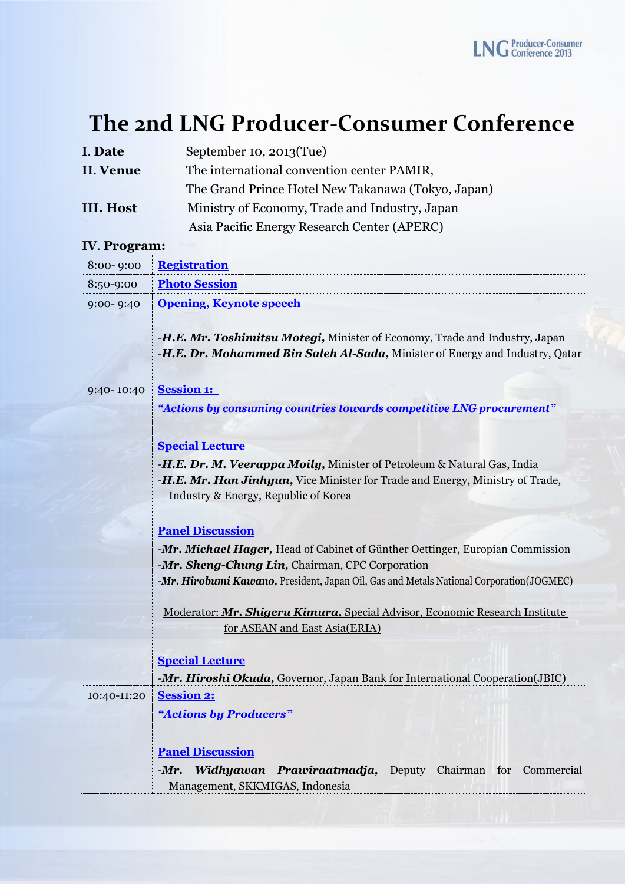## **The 2nd LNG Producer-Consumer Conference**

| I. Date          | September 10, 2013(Tue)                            |
|------------------|----------------------------------------------------|
| II. Venue        | The international convention center PAMIR,         |
|                  | The Grand Prince Hotel New Takanawa (Tokyo, Japan) |
| <b>III. Host</b> | Ministry of Economy, Trade and Industry, Japan     |
|                  | Asia Pacific Energy Research Center (APERC)        |

## **IV**. **Program:**

| 8:00-9:00   | <b>Registration</b>                                                                                                                                         |
|-------------|-------------------------------------------------------------------------------------------------------------------------------------------------------------|
| 8:50-9:00   | <b>Photo Session</b>                                                                                                                                        |
| 9:00-9:40   | <b>Opening, Keynote speech</b>                                                                                                                              |
|             | -H.E. Mr. Toshimitsu Motegi, Minister of Economy, Trade and Industry, Japan<br>-H.E. Dr. Mohammed Bin Saleh Al-Sada, Minister of Energy and Industry, Qatar |
|             |                                                                                                                                                             |
| 9:40-10:40  | <b>Session 1:</b>                                                                                                                                           |
|             | "Actions by consuming countries towards competitive LNG procurement"                                                                                        |
|             |                                                                                                                                                             |
|             | <b>Special Lecture</b>                                                                                                                                      |
|             | -H.E. Dr. M. Veerappa Moily, Minister of Petroleum & Natural Gas, India                                                                                     |
|             | -H.E. Mr. Han Jinhyun, Vice Minister for Trade and Energy, Ministry of Trade,<br>Industry & Energy, Republic of Korea                                       |
|             |                                                                                                                                                             |
|             | <b>Panel Discussion</b>                                                                                                                                     |
|             | -Mr. Michael Hager, Head of Cabinet of Günther Oettinger, Europian Commission<br>-Mr. Sheng-Chung Lin, Chairman, CPC Corporation                            |
|             | -Mr. Hirobumi Kawano, President, Japan Oil, Gas and Metals National Corporation(JOGMEC)                                                                     |
|             |                                                                                                                                                             |
|             | Moderator: Mr. Shigeru Kimura, Special Advisor, Economic Research Institute                                                                                 |
|             | for ASEAN and East Asia(ERIA)                                                                                                                               |
|             | <b>Special Lecture</b>                                                                                                                                      |
|             | -Mr. Hiroshi Okuda, Governor, Japan Bank for International Cooperation(JBIC)                                                                                |
| 10:40-11:20 | <b>Session 2:</b>                                                                                                                                           |
|             | "Actions by Producers"                                                                                                                                      |
|             |                                                                                                                                                             |
|             | <b>Panel Discussion</b>                                                                                                                                     |
|             | Widhyawan Prawiraatmadja,<br>Deputy Chairman for Commercial<br>$-Mr.$                                                                                       |
|             | Management, SKKMIGAS, Indonesia                                                                                                                             |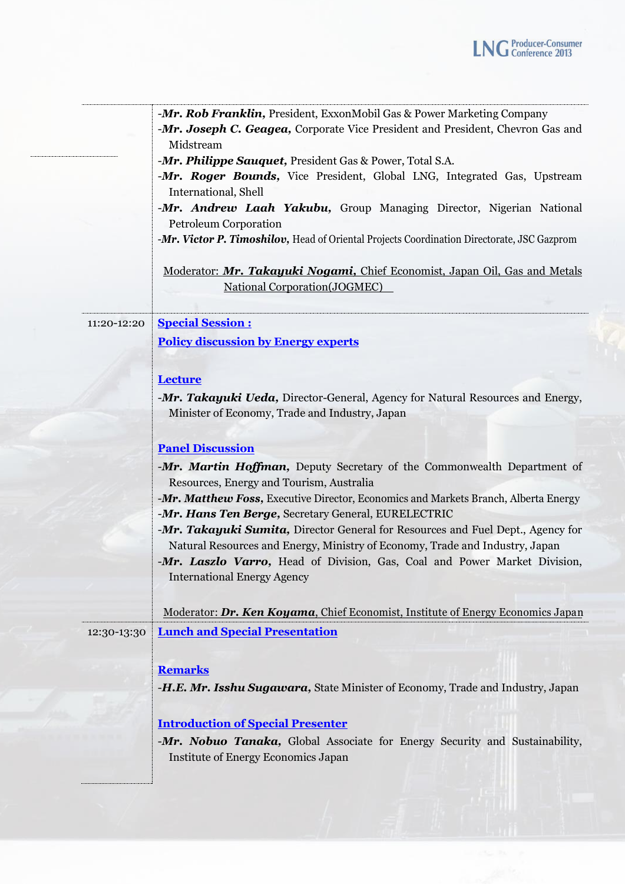|             | -Mr. Rob Franklin, President, ExxonMobil Gas & Power Marketing Company<br>-Mr. Joseph C. Geagea, Corporate Vice President and President, Chevron Gas and<br>Midstream<br>-Mr. Philippe Sauquet, President Gas & Power, Total S.A.<br>-Mr. Roger Bounds, Vice President, Global LNG, Integrated Gas, Upstream<br>International, Shell<br>-Mr. Andrew Laah Yakubu, Group Managing Director, Nigerian National<br>Petroleum Corporation                                                                                                                                               |
|-------------|------------------------------------------------------------------------------------------------------------------------------------------------------------------------------------------------------------------------------------------------------------------------------------------------------------------------------------------------------------------------------------------------------------------------------------------------------------------------------------------------------------------------------------------------------------------------------------|
|             | -Mr. Victor P. Timoshilov, Head of Oriental Projects Coordination Directorate, JSC Gazprom<br>Moderator: Mr. Takayuki Nogami, Chief Economist, Japan Oil, Gas and Metals<br>National Corporation(JOGMEC)                                                                                                                                                                                                                                                                                                                                                                           |
| 11:20-12:20 | <b>Special Session:</b><br><b>Policy discussion by Energy experts</b>                                                                                                                                                                                                                                                                                                                                                                                                                                                                                                              |
|             | <b>Lecture</b><br>-Mr. Takayuki Ueda, Director-General, Agency for Natural Resources and Energy,<br>Minister of Economy, Trade and Industry, Japan                                                                                                                                                                                                                                                                                                                                                                                                                                 |
|             | <b>Panel Discussion</b><br>-Mr. Martin Hoffman, Deputy Secretary of the Commonwealth Department of<br>Resources, Energy and Tourism, Australia<br>-Mr. Matthew Foss, Executive Director, Economics and Markets Branch, Alberta Energy<br>-Mr. Hans Ten Berge, Secretary General, EURELECTRIC<br>-Mr. Takayuki Sumita, Director General for Resources and Fuel Dept., Agency for<br>Natural Resources and Energy, Ministry of Economy, Trade and Industry, Japan<br>-Mr. Laszlo Varro, Head of Division, Gas, Coal and Power Market Division,<br><b>International Energy Agency</b> |
| 12:30-13:30 | Moderator: Dr. Ken Koyama, Chief Economist, Institute of Energy Economics Japan<br><b>Lunch and Special Presentation</b>                                                                                                                                                                                                                                                                                                                                                                                                                                                           |
|             | <b>Remarks</b><br><b>-H.E. Mr. Isshu Sugawara, State Minister of Economy, Trade and Industry, Japan</b>                                                                                                                                                                                                                                                                                                                                                                                                                                                                            |
|             | <b>Introduction of Special Presenter</b><br>-Mr. Nobuo Tanaka, Global Associate for Energy Security and Sustainability,<br>Institute of Energy Economics Japan                                                                                                                                                                                                                                                                                                                                                                                                                     |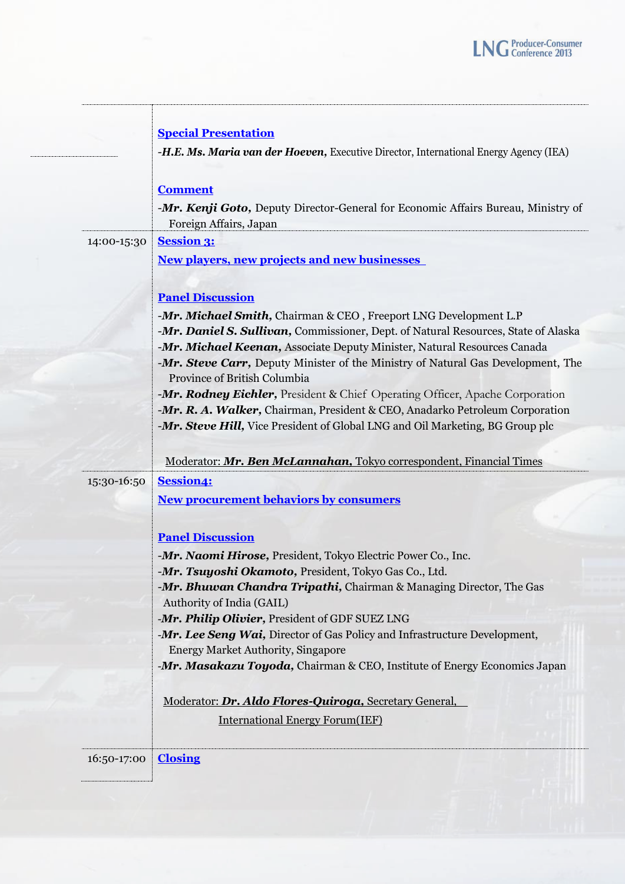|             | <b>Special Presentation</b>                                                                                      |
|-------------|------------------------------------------------------------------------------------------------------------------|
|             | -H.E. Ms. Maria van der Hoeven, Executive Director, International Energy Agency (IEA)                            |
|             | <b>Comment</b>                                                                                                   |
|             | -Mr. Kenji Goto, Deputy Director-General for Economic Affairs Bureau, Ministry of                                |
|             | Foreign Affairs, Japan                                                                                           |
| 14:00-15:30 | <b>Session 3:</b>                                                                                                |
|             | <b>New players, new projects and new businesses</b>                                                              |
|             | <b>Panel Discussion</b>                                                                                          |
|             | -Mr. Michael Smith, Chairman & CEO, Freeport LNG Development L.P                                                 |
|             | -Mr. Daniel S. Sullivan, Commissioner, Dept. of Natural Resources, State of Alaska                               |
|             | -Mr. Michael Keenan, Associate Deputy Minister, Natural Resources Canada                                         |
|             | -Mr. Steve Carr, Deputy Minister of the Ministry of Natural Gas Development, The<br>Province of British Columbia |
|             | -Mr. Rodney Eichler, President & Chief Operating Officer, Apache Corporation                                     |
|             | -Mr. R. A. Walker, Chairman, President & CEO, Anadarko Petroleum Corporation                                     |
|             | -Mr. Steve Hill, Vice President of Global LNG and Oil Marketing, BG Group plc                                    |
|             |                                                                                                                  |
|             | Moderator: Mr. Ben McLannahan, Tokyo correspondent, Financial Times                                              |
| 15:30-16:50 | <b>Session4:</b>                                                                                                 |
|             | <b>New procurement behaviors by consumers</b>                                                                    |
|             | <b>Panel Discussion</b>                                                                                          |
|             | -Mr. Naomi Hirose, President, Tokyo Electric Power Co., Inc.                                                     |
|             | -Mr. Tsuyoshi Okamoto, President, Tokyo Gas Co., Ltd.                                                            |
|             | -Mr. Bhuwan Chandra Tripathi, Chairman & Managing Director, The Gas<br>Authority of India (GAIL)                 |
|             | -Mr. Philip Olivier, President of GDF SUEZ LNG                                                                   |
|             | -Mr. Lee Seng Wai, Director of Gas Policy and Infrastructure Development,                                        |
|             | <b>Energy Market Authority, Singapore</b>                                                                        |
|             | -Mr. Masakazu Toyoda, Chairman & CEO, Institute of Energy Economics Japan                                        |
|             | Moderator: Dr. Aldo Flores-Quiroga, Secretary General,                                                           |
|             | <b>International Energy Forum(IEF)</b>                                                                           |
|             |                                                                                                                  |
| 16:50-17:00 | <b>Closing</b>                                                                                                   |
|             |                                                                                                                  |